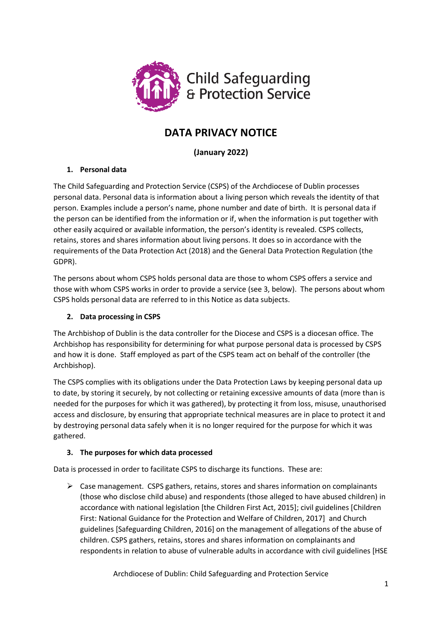

# **DATA PRIVACY NOTICE**

**(January 2022)**

# **1. Personal data**

The Child Safeguarding and Protection Service (CSPS) of the Archdiocese of Dublin processes personal data. Personal data is information about a living person which reveals the identity of that person. Examples include a person's name, phone number and date of birth. It is personal data if the person can be identified from the information or if, when the information is put together with other easily acquired or available information, the person's identity is revealed. CSPS collects, retains, stores and shares information about living persons. It does so in accordance with the requirements of the Data Protection Act (2018) and the General Data Protection Regulation (the GDPR).

The persons about whom CSPS holds personal data are those to whom CSPS offers a service and those with whom CSPS works in order to provide a service (see 3, below). The persons about whom CSPS holds personal data are referred to in this Notice as data subjects.

# **2. Data processing in CSPS**

The Archbishop of Dublin is the data controller for the Diocese and CSPS is a diocesan office. The Archbishop has responsibility for determining for what purpose personal data is processed by CSPS and how it is done. Staff employed as part of the CSPS team act on behalf of the controller (the Archbishop).

The CSPS complies with its obligations under the Data Protection Laws by keeping personal data up to date, by storing it securely, by not collecting or retaining excessive amounts of data (more than is needed for the purposes for which it was gathered), by protecting it from loss, misuse, unauthorised access and disclosure, by ensuring that appropriate technical measures are in place to protect it and by destroying personal data safely when it is no longer required for the purpose for which it was gathered.

# **3. The purposes for which data processed**

Data is processed in order to facilitate CSPS to discharge its functions. These are:

 $\triangleright$  Case management. CSPS gathers, retains, stores and shares information on complainants (those who disclose child abuse) and respondents (those alleged to have abused children) in accordance with national legislation [the Children First Act, 2015]; civil guidelines [Children First: National Guidance for the Protection and Welfare of Children, 2017] and Church guidelines [Safeguarding Children, 2016] on the management of allegations of the abuse of children. CSPS gathers, retains, stores and shares information on complainants and respondents in relation to abuse of vulnerable adults in accordance with civil guidelines [HSE

Archdiocese of Dublin: Child Safeguarding and Protection Service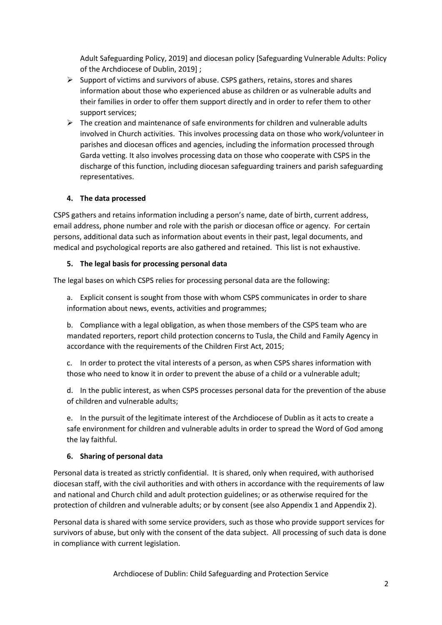Adult Safeguarding Policy, 2019] and diocesan policy [Safeguarding Vulnerable Adults: Policy of the Archdiocese of Dublin, 2019] ;

- $\triangleright$  Support of victims and survivors of abuse. CSPS gathers, retains, stores and shares information about those who experienced abuse as children or as vulnerable adults and their families in order to offer them support directly and in order to refer them to other support services;
- $\triangleright$  The creation and maintenance of safe environments for children and vulnerable adults involved in Church activities. This involves processing data on those who work/volunteer in parishes and diocesan offices and agencies, including the information processed through Garda vetting. It also involves processing data on those who cooperate with CSPS in the discharge of this function, including diocesan safeguarding trainers and parish safeguarding representatives.

## **4. The data processed**

CSPS gathers and retains information including a person's name, date of birth, current address, email address, phone number and role with the parish or diocesan office or agency. For certain persons, additional data such as information about events in their past, legal documents, and medical and psychological reports are also gathered and retained. This list is not exhaustive.

#### **5. The legal basis for processing personal data**

The legal bases on which CSPS relies for processing personal data are the following:

a. Explicit consent is sought from those with whom CSPS communicates in order to share information about news, events, activities and programmes;

b. Compliance with a legal obligation, as when those members of the CSPS team who are mandated reporters, report child protection concerns to Tusla, the Child and Family Agency in accordance with the requirements of the Children First Act, 2015;

c. In order to protect the vital interests of a person, as when CSPS shares information with those who need to know it in order to prevent the abuse of a child or a vulnerable adult;

d. In the public interest, as when CSPS processes personal data for the prevention of the abuse of children and vulnerable adults;

e. In the pursuit of the legitimate interest of the Archdiocese of Dublin as it acts to create a safe environment for children and vulnerable adults in order to spread the Word of God among the lay faithful.

#### **6. Sharing of personal data**

Personal data is treated as strictly confidential. It is shared, only when required, with authorised diocesan staff, with the civil authorities and with others in accordance with the requirements of law and national and Church child and adult protection guidelines; or as otherwise required for the protection of children and vulnerable adults; or by consent (see also Appendix 1 and Appendix 2).

Personal data is shared with some service providers, such as those who provide support services for survivors of abuse, but only with the consent of the data subject. All processing of such data is done in compliance with current legislation.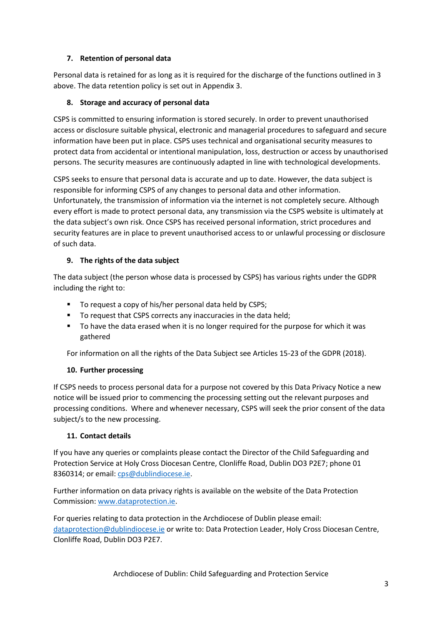## **7. Retention of personal data**

Personal data is retained for as long as it is required for the discharge of the functions outlined in 3 above. The data retention policy is set out in Appendix 3.

# **8. Storage and accuracy of personal data**

CSPS is committed to ensuring information is stored securely. In order to prevent unauthorised access or disclosure suitable physical, electronic and managerial procedures to safeguard and secure information have been put in place. CSPS uses technical and organisational security measures to protect data from accidental or intentional manipulation, loss, destruction or access by unauthorised persons. The security measures are continuously adapted in line with technological developments.

CSPS seeks to ensure that personal data is accurate and up to date. However, the data subject is responsible for informing CSPS of any changes to personal data and other information. Unfortunately, the transmission of information via the internet is not completely secure. Although every effort is made to protect personal data, any transmission via the CSPS website is ultimately at the data subject's own risk. Once CSPS has received personal information, strict procedures and security features are in place to prevent unauthorised access to or unlawful processing or disclosure of such data.

## **9. The rights of the data subject**

The data subject (the person whose data is processed by CSPS) has various rights under the GDPR including the right to:

- To request a copy of his/her personal data held by CSPS;
- To request that CSPS corrects any inaccuracies in the data held;
- To have the data erased when it is no longer required for the purpose for which it was gathered

For information on all the rights of the Data Subject see Articles 15-23 of the GDPR (2018).

#### **10. Further processing**

If CSPS needs to process personal data for a purpose not covered by this Data Privacy Notice a new notice will be issued prior to commencing the processing setting out the relevant purposes and processing conditions. Where and whenever necessary, CSPS will seek the prior consent of the data subject/s to the new processing.

#### **11. Contact details**

If you have any queries or complaints please contact the Director of the Child Safeguarding and Protection Service at Holy Cross Diocesan Centre, Clonliffe Road, Dublin DO3 P2E7; phone 01 8360314; or email: [cps@dublindiocese.ie.](mailto:cps@dublindiocese.ie)

Further information on data privacy rights is available on the website of the Data Protection Commission: [www.dataprotection.ie.](http://www.dataprotection.ie/)

For queries relating to data protection in the Archdiocese of Dublin please email: [dataprotection@dublindiocese.ie](mailto:dataprotection@dublindiocese.ie) or write to: Data Protection Leader, Holy Cross Diocesan Centre, Clonliffe Road, Dublin DO3 P2E7.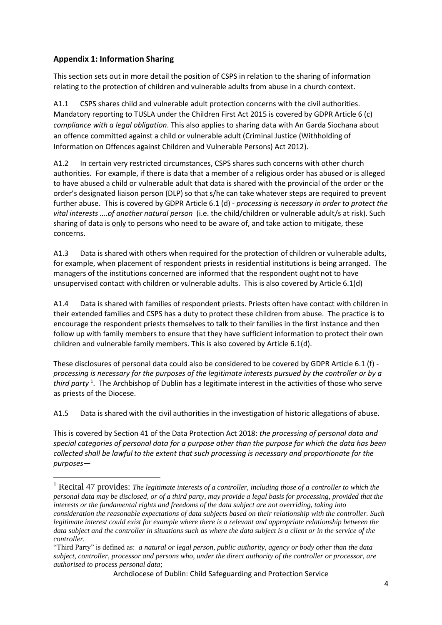# **Appendix 1: Information Sharing**

**.** 

This section sets out in more detail the position of CSPS in relation to the sharing of information relating to the protection of children and vulnerable adults from abuse in a church context.

A1.1 CSPS shares child and vulnerable adult protection concerns with the civil authorities. Mandatory reporting to TUSLA under the Children First Act 2015 is covered by GDPR Article 6 (c) *compliance with a legal obligation*. This also applies to sharing data with An Garda Siochana about an offence committed against a child or vulnerable adult (Criminal Justice (Withholding of Information on Offences against Children and Vulnerable Persons) Act 2012).

A1.2 In certain very restricted circumstances, CSPS shares such concerns with other church authorities. For example, if there is data that a member of a religious order has abused or is alleged to have abused a child or vulnerable adult that data is shared with the provincial of the order or the order's designated liaison person (DLP) so that s/he can take whatever steps are required to prevent further abuse. This is covered by GDPR Article 6.1 (d) - *processing is necessary in order to protect the vital interests ….of another natural person* (i.e. the child/children or vulnerable adult/s at risk). Such sharing of data is only to persons who need to be aware of, and take action to mitigate, these concerns.

A1.3 Data is shared with others when required for the protection of children or vulnerable adults, for example, when placement of respondent priests in residential institutions is being arranged. The managers of the institutions concerned are informed that the respondent ought not to have unsupervised contact with children or vulnerable adults. This is also covered by Article 6.1(d)

A1.4 Data is shared with families of respondent priests. Priests often have contact with children in their extended families and CSPS has a duty to protect these children from abuse. The practice is to encourage the respondent priests themselves to talk to their families in the first instance and then follow up with family members to ensure that they have sufficient information to protect their own children and vulnerable family members. This is also covered by Article 6.1(d).

These disclosures of personal data could also be considered to be covered by GDPR Article 6.1 (f) *processing is necessary for the purposes of the legitimate interests pursued by the controller or by a*  third party<sup>1</sup>. The Archbishop of Dublin has a legitimate interest in the activities of those who serve as priests of the Diocese.

A1.5 Data is shared with the civil authorities in the investigation of historic allegations of abuse.

This is covered by Section 41 of the Data Protection Act 2018: *the processing of personal data and special categories of personal data for a purpose other than the purpose for which the data has been collected shall be lawful to the extent that such processing is necessary and proportionate for the purposes—*

<sup>1</sup> Recital 47 provides: *The legitimate interests of a controller, including those of a controller to which the personal data may be disclosed, or of a third party, may provide a legal basis for processing, provided that the interests or the fundamental rights and freedoms of the data subject are not overriding, taking into consideration the reasonable expectations of data subjects based on their relationship with the controller. Such legitimate interest could exist for example where there is a relevant and appropriate relationship between the data subject and the controller in situations such as where the data subject is a client or in the service of the controller.*

<sup>&</sup>quot;Third Party" is defined as: *a natural or legal person, public authority, agency or body other than the data subject, controller, processor and persons who, under the direct authority of the controller or processor, are authorised to process personal data*;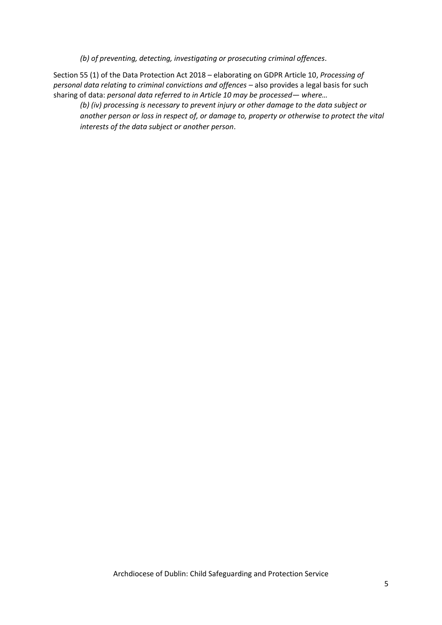*(b) of preventing, detecting, investigating or prosecuting criminal offences*.

Section 55 (1) of the Data Protection Act 2018 – elaborating on GDPR Article 10, *Processing of personal data relating to criminal convictions and offences – also provides a legal basis for such* sharing of data: *personal data referred to in Article 10 may be processed— where…*

*(b) (iv) processing is necessary to prevent injury or other damage to the data subject or another person or loss in respect of, or damage to, property or otherwise to protect the vital interests of the data subject or another person*.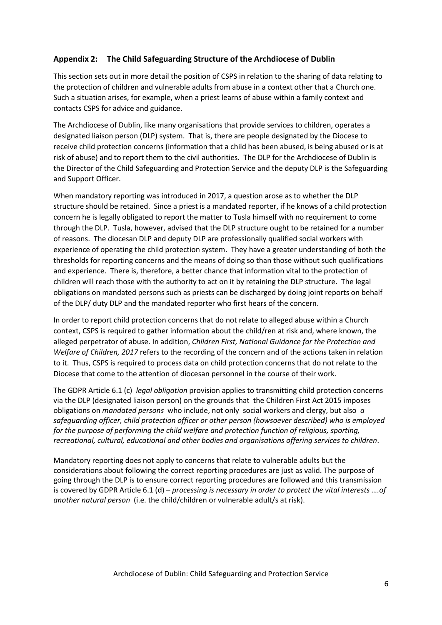## **Appendix 2: The Child Safeguarding Structure of the Archdiocese of Dublin**

This section sets out in more detail the position of CSPS in relation to the sharing of data relating to the protection of children and vulnerable adults from abuse in a context other that a Church one. Such a situation arises, for example, when a priest learns of abuse within a family context and contacts CSPS for advice and guidance.

The Archdiocese of Dublin, like many organisations that provide services to children, operates a designated liaison person (DLP) system. That is, there are people designated by the Diocese to receive child protection concerns (information that a child has been abused, is being abused or is at risk of abuse) and to report them to the civil authorities. The DLP for the Archdiocese of Dublin is the Director of the Child Safeguarding and Protection Service and the deputy DLP is the Safeguarding and Support Officer.

When mandatory reporting was introduced in 2017, a question arose as to whether the DLP structure should be retained. Since a priest is a mandated reporter, if he knows of a child protection concern he is legally obligated to report the matter to Tusla himself with no requirement to come through the DLP. Tusla, however, advised that the DLP structure ought to be retained for a number of reasons. The diocesan DLP and deputy DLP are professionally qualified social workers with experience of operating the child protection system. They have a greater understanding of both the thresholds for reporting concerns and the means of doing so than those without such qualifications and experience. There is, therefore, a better chance that information vital to the protection of children will reach those with the authority to act on it by retaining the DLP structure. The legal obligations on mandated persons such as priests can be discharged by doing joint reports on behalf of the DLP/ duty DLP and the mandated reporter who first hears of the concern.

In order to report child protection concerns that do not relate to alleged abuse within a Church context, CSPS is required to gather information about the child/ren at risk and, where known, the alleged perpetrator of abuse. In addition, *Children First, National Guidance for the Protection and Welfare of Children, 2017* refers to the recording of the concern and of the actions taken in relation to it. Thus, CSPS is required to process data on child protection concerns that do not relate to the Diocese that come to the attention of diocesan personnel in the course of their work.

The GDPR Article 6.1 (c) *legal obligation* provision applies to transmitting child protection concerns via the DLP (designated liaison person) on the grounds that the Children First Act 2015 imposes obligations on *mandated persons* who include, not only social workers and clergy, but also *a safeguarding officer, child protection officer or other person (howsoever described) who is employed for the purpose of performing the child welfare and protection function of religious, sporting, recreational, cultural, educational and other bodies and organisations offering services to children*.

Mandatory reporting does not apply to concerns that relate to vulnerable adults but the considerations about following the correct reporting procedures are just as valid. The purpose of going through the DLP is to ensure correct reporting procedures are followed and this transmission is covered by GDPR Article 6.1 (d) – *processing is necessary in order to protect the vital interests ….of another natural person* (i.e. the child/children or vulnerable adult/s at risk).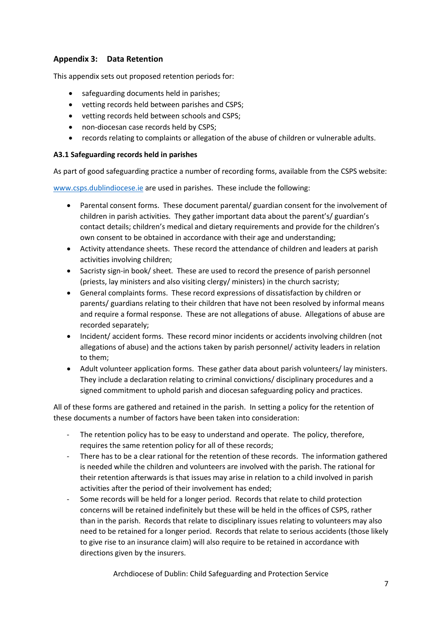# **Appendix 3: Data Retention**

This appendix sets out proposed retention periods for:

- safeguarding documents held in parishes;
- vetting records held between parishes and CSPS;
- vetting records held between schools and CSPS;
- non-diocesan case records held by CSPS;
- records relating to complaints or allegation of the abuse of children or vulnerable adults.

#### **A3.1 Safeguarding records held in parishes**

As part of good safeguarding practice a number of recording forms, available from the CSPS website:

[www.csps.dublindiocese.ie](http://www.csps.dublindiocese.ie/) are used in parishes. These include the following:

- Parental consent forms. These document parental/ guardian consent for the involvement of children in parish activities. They gather important data about the parent's/ guardian's contact details; children's medical and dietary requirements and provide for the children's own consent to be obtained in accordance with their age and understanding;
- Activity attendance sheets. These record the attendance of children and leaders at parish activities involving children;
- Sacristy sign-in book/ sheet. These are used to record the presence of parish personnel (priests, lay ministers and also visiting clergy/ ministers) in the church sacristy;
- General complaints forms. These record expressions of dissatisfaction by children or parents/ guardians relating to their children that have not been resolved by informal means and require a formal response. These are not allegations of abuse. Allegations of abuse are recorded separately;
- Incident/ accident forms. These record minor incidents or accidents involving children (not allegations of abuse) and the actions taken by parish personnel/ activity leaders in relation to them;
- Adult volunteer application forms. These gather data about parish volunteers/ lay ministers. They include a declaration relating to criminal convictions/ disciplinary procedures and a signed commitment to uphold parish and diocesan safeguarding policy and practices.

All of these forms are gathered and retained in the parish. In setting a policy for the retention of these documents a number of factors have been taken into consideration:

- The retention policy has to be easy to understand and operate. The policy, therefore, requires the same retention policy for all of these records;
- There has to be a clear rational for the retention of these records. The information gathered is needed while the children and volunteers are involved with the parish. The rational for their retention afterwards is that issues may arise in relation to a child involved in parish activities after the period of their involvement has ended;
- Some records will be held for a longer period. Records that relate to child protection concerns will be retained indefinitely but these will be held in the offices of CSPS, rather than in the parish. Records that relate to disciplinary issues relating to volunteers may also need to be retained for a longer period. Records that relate to serious accidents (those likely to give rise to an insurance claim) will also require to be retained in accordance with directions given by the insurers.

Archdiocese of Dublin: Child Safeguarding and Protection Service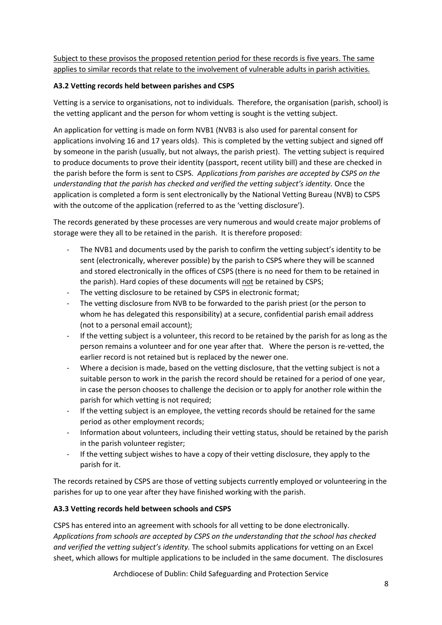Subject to these provisos the proposed retention period for these records is five years. The same applies to similar records that relate to the involvement of vulnerable adults in parish activities.

## **A3.2 Vetting records held between parishes and CSPS**

Vetting is a service to organisations, not to individuals. Therefore, the organisation (parish, school) is the vetting applicant and the person for whom vetting is sought is the vetting subject.

An application for vetting is made on form NVB1 (NVB3 is also used for parental consent for applications involving 16 and 17 years olds). This is completed by the vetting subject and signed off by someone in the parish (usually, but not always, the parish priest). The vetting subject is required to produce documents to prove their identity (passport, recent utility bill) and these are checked in the parish before the form is sent to CSPS. *Applications from parishes are accepted by CSPS on the understanding that the parish has checked and verified the vetting subject's identity.* Once the application is completed a form is sent electronically by the National Vetting Bureau (NVB) to CSPS with the outcome of the application (referred to as the 'vetting disclosure').

The records generated by these processes are very numerous and would create major problems of storage were they all to be retained in the parish. It is therefore proposed:

- The NVB1 and documents used by the parish to confirm the vetting subject's identity to be sent (electronically, wherever possible) by the parish to CSPS where they will be scanned and stored electronically in the offices of CSPS (there is no need for them to be retained in the parish). Hard copies of these documents will not be retained by CSPS;
- The vetting disclosure to be retained by CSPS in electronic format;
- The vetting disclosure from NVB to be forwarded to the parish priest (or the person to whom he has delegated this responsibility) at a secure, confidential parish email address (not to a personal email account);
- If the vetting subject is a volunteer, this record to be retained by the parish for as long as the person remains a volunteer and for one year after that. Where the person is re-vetted, the earlier record is not retained but is replaced by the newer one.
- Where a decision is made, based on the vetting disclosure, that the vetting subject is not a suitable person to work in the parish the record should be retained for a period of one year, in case the person chooses to challenge the decision or to apply for another role within the parish for which vetting is not required;
- If the vetting subject is an employee, the vetting records should be retained for the same period as other employment records;
- Information about volunteers, including their vetting status, should be retained by the parish in the parish volunteer register;
- If the vetting subject wishes to have a copy of their vetting disclosure, they apply to the parish for it.

The records retained by CSPS are those of vetting subjects currently employed or volunteering in the parishes for up to one year after they have finished working with the parish.

# **A3.3 Vetting records held between schools and CSPS**

CSPS has entered into an agreement with schools for all vetting to be done electronically. *Applications from schools are accepted by CSPS on the understanding that the school has checked and verified the vetting subject's identity.* The school submits applications for vetting on an Excel sheet, which allows for multiple applications to be included in the same document. The disclosures

Archdiocese of Dublin: Child Safeguarding and Protection Service